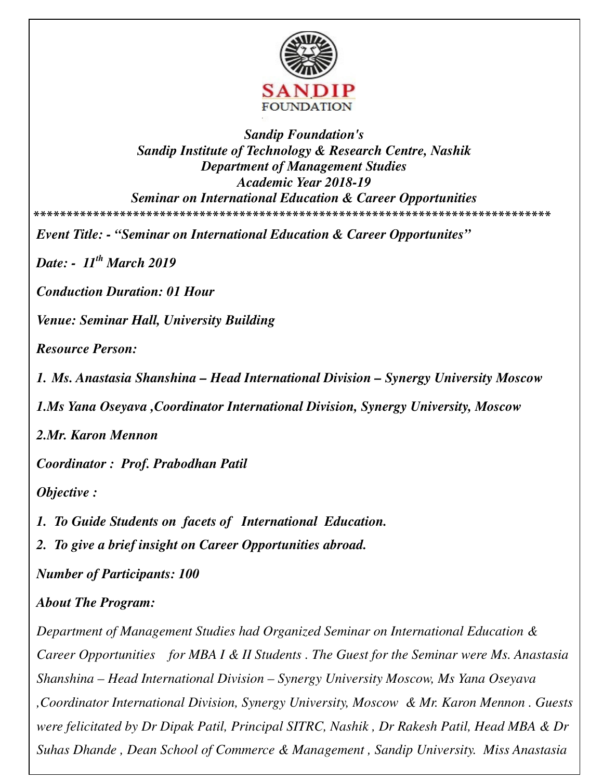

*Sandip Foundation's Sandip Institute of Technology & Research Centre, Nashik Department of Management Studies Academic Year 2018-19 Seminar on International Education & Career Opportunities*  **\*\*\*\*\*\*\*\*\*\*\*\*\*\*\*\*\*\*\*\*\*\*\*\*\*\*\*\*\*\*\*\*\*\*\*\*\*\*\*\*\*\*\*\*\*\*\*\*\*\*\*\*\*\*\*\*\*\*\*\*\*\*\*\*\*\*\*\*\*\*\*\*\*\*\*\*\*\*** 

*Event Title: - "Seminar on International Education & Career Opportunites"* 

*Date: - 11th March 2019* 

*Conduction Duration: 01 Hour* 

*Venue: Seminar Hall, University Building* 

*Resource Person:* 

*1. Ms. Anastasia Shanshina – Head International Division – Synergy University Moscow* 

*1.Ms Yana Oseyava ,Coordinator International Division, Synergy University, Moscow* 

*2.Mr. Karon Mennon* 

*Coordinator : Prof. Prabodhan Patil* 

*Objective :* 

*1. To Guide Students on facets of International Education.* 

*2. To give a brief insight on Career Opportunities abroad.* 

*Number of Participants: 100* 

## *About The Program:*

*Department of Management Studies had Organized Seminar on International Education & Career Opportunities for MBA I & II Students . The Guest for the Seminar were Ms. Anastasia Shanshina – Head International Division – Synergy University Moscow, Ms Yana Oseyava ,Coordinator International Division, Synergy University, Moscow & Mr. Karon Mennon . Guests were felicitated by Dr Dipak Patil, Principal SITRC, Nashik , Dr Rakesh Patil, Head MBA & Dr Suhas Dhande , Dean School of Commerce & Management , Sandip University. Miss Anastasia*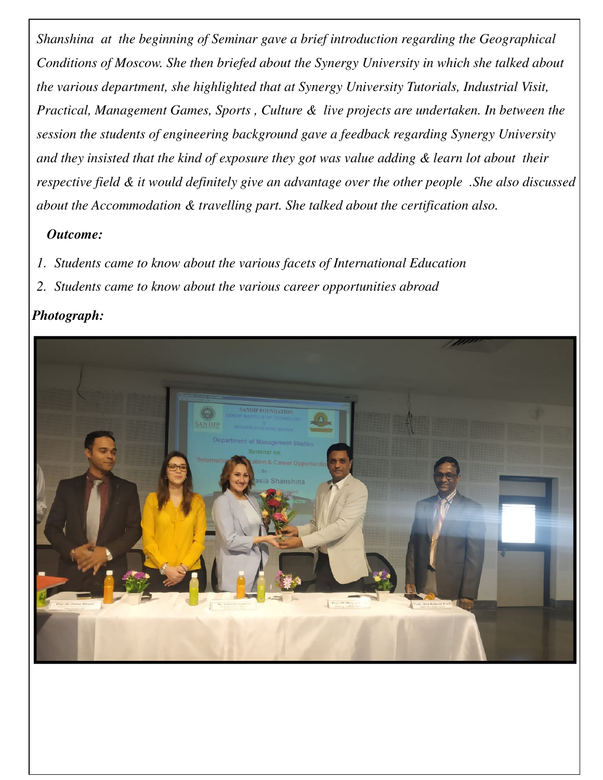*Shanshina at the beginning of Seminar gave a brief introduction regarding the Geographical Conditions of Moscow. She then briefed about the Synergy University in which she talked about the various department, she highlighted that at Synergy University Tutorials, Industrial Visit, Practical, Management Games, Sports , Culture & live projects are undertaken. In between the session the students of engineering background gave a feedback regarding Synergy University and they insisted that the kind of exposure they got was value adding & learn lot about their respective field & it would definitely give an advantage over the other people .She also discussed about the Accommodation & travelling part. She talked about the certification also.* 

## *Outcome:*

- *1. Students came to know about the various facets of International Education*
- *2. Students came to know about the various career opportunities abroad*

## *Photograph:*

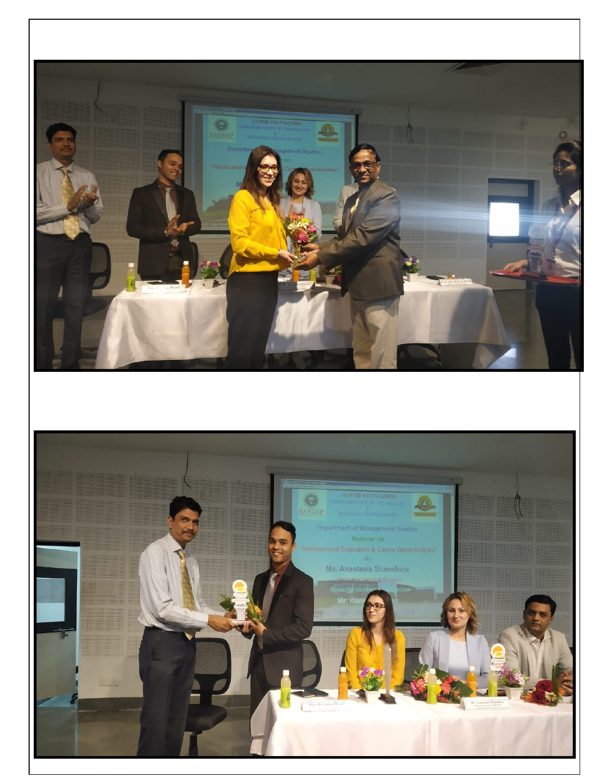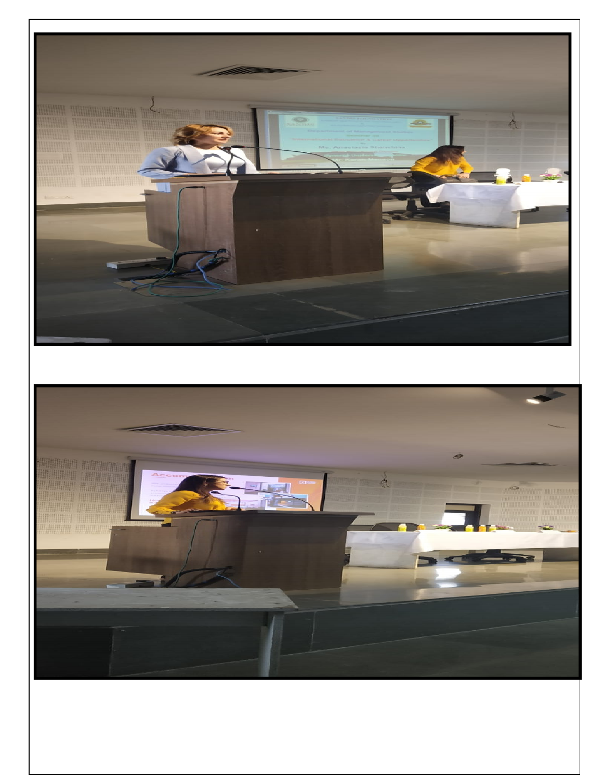

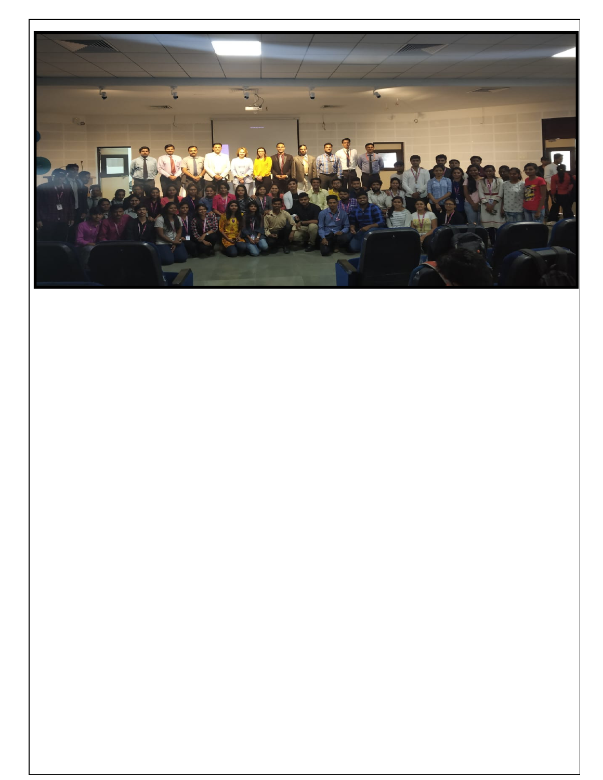